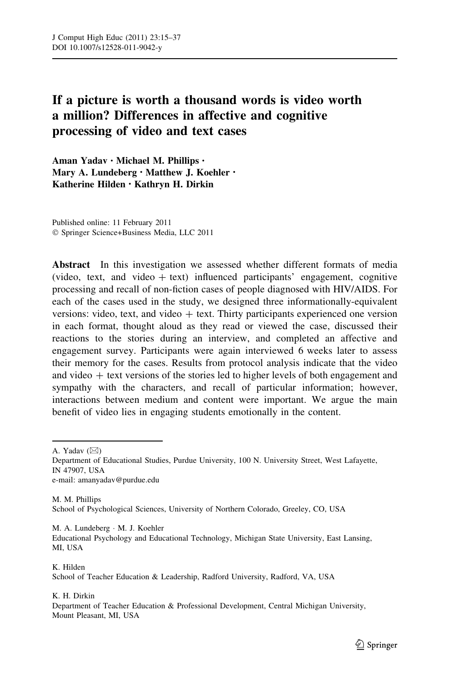# If a picture is worth a thousand words is video worth a million? Differences in affective and cognitive processing of video and text cases

Aman Yadav • Michael M. Phillips • Mary A. Lundeberg · Matthew J. Koehler · Katherine Hilden • Kathryn H. Dirkin

Published online: 11 February 2011 - Springer Science+Business Media, LLC 2011

Abstract In this investigation we assessed whether different formats of media (video, text, and video  $+$  text) influenced participants' engagement, cognitive processing and recall of non-fiction cases of people diagnosed with HIV/AIDS. For each of the cases used in the study, we designed three informationally-equivalent versions: video, text, and video  $+$  text. Thirty participants experienced one version in each format, thought aloud as they read or viewed the case, discussed their reactions to the stories during an interview, and completed an affective and engagement survey. Participants were again interviewed 6 weeks later to assess their memory for the cases. Results from protocol analysis indicate that the video and video  $+$  text versions of the stories led to higher levels of both engagement and sympathy with the characters, and recall of particular information; however, interactions between medium and content were important. We argue the main benefit of video lies in engaging students emotionally in the content.

A. Yadav  $(\boxtimes)$ 

Department of Educational Studies, Purdue University, 100 N. University Street, West Lafayette, IN 47907, USA e-mail: amanyadav@purdue.edu

M. M. Phillips School of Psychological Sciences, University of Northern Colorado, Greeley, CO, USA

M. A. Lundeberg - M. J. Koehler Educational Psychology and Educational Technology, Michigan State University, East Lansing, MI, USA

K. Hilden School of Teacher Education & Leadership, Radford University, Radford, VA, USA

K. H. Dirkin Department of Teacher Education & Professional Development, Central Michigan University, Mount Pleasant, MI, USA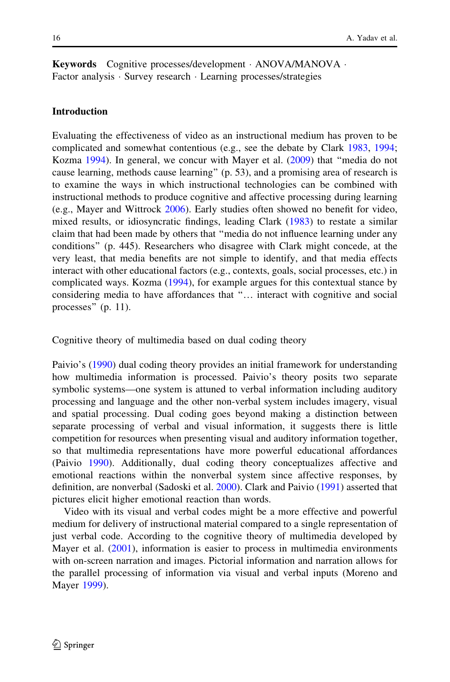Keywords Cognitive processes/development · ANOVA/MANOVA · Factor analysis - Survey research - Learning processes/strategies

#### **Introduction**

Evaluating the effectiveness of video as an instructional medium has proven to be complicated and somewhat contentious (e.g., see the debate by Clark [1983,](#page-20-0) [1994;](#page-20-0) Kozma [1994](#page-21-0)). In general, we concur with Mayer et al. [\(2009](#page-21-0)) that ''media do not cause learning, methods cause learning'' (p. 53), and a promising area of research is to examine the ways in which instructional technologies can be combined with instructional methods to produce cognitive and affective processing during learning (e.g., Mayer and Wittrock [2006](#page-21-0)). Early studies often showed no benefit for video, mixed results, or idiosyncratic findings, leading Clark ([1983\)](#page-20-0) to restate a similar claim that had been made by others that ''media do not influence learning under any conditions'' (p. 445). Researchers who disagree with Clark might concede, at the very least, that media benefits are not simple to identify, and that media effects interact with other educational factors (e.g., contexts, goals, social processes, etc.) in complicated ways. Kozma [\(1994](#page-21-0)), for example argues for this contextual stance by considering media to have affordances that ''… interact with cognitive and social processes'' (p. 11).

Cognitive theory of multimedia based on dual coding theory

Paivio's ([1990\)](#page-21-0) dual coding theory provides an initial framework for understanding how multimedia information is processed. Paivio's theory posits two separate symbolic systems—one system is attuned to verbal information including auditory processing and language and the other non-verbal system includes imagery, visual and spatial processing. Dual coding goes beyond making a distinction between separate processing of verbal and visual information, it suggests there is little competition for resources when presenting visual and auditory information together, so that multimedia representations have more powerful educational affordances (Paivio [1990](#page-21-0)). Additionally, dual coding theory conceptualizes affective and emotional reactions within the nonverbal system since affective responses, by definition, are nonverbal (Sadoski et al. [2000](#page-21-0)). Clark and Paivio ([1991\)](#page-20-0) asserted that pictures elicit higher emotional reaction than words.

Video with its visual and verbal codes might be a more effective and powerful medium for delivery of instructional material compared to a single representation of just verbal code. According to the cognitive theory of multimedia developed by Mayer et al. ([2001\)](#page-21-0), information is easier to process in multimedia environments with on-screen narration and images. Pictorial information and narration allows for the parallel processing of information via visual and verbal inputs (Moreno and Mayer [1999](#page-21-0)).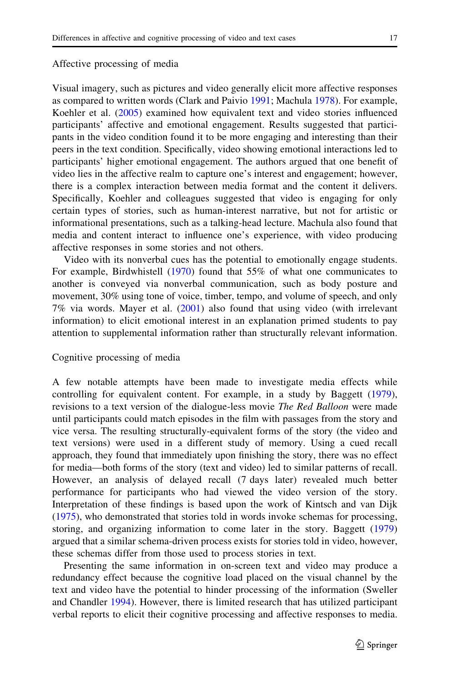#### Affective processing of media

Visual imagery, such as pictures and video generally elicit more affective responses as compared to written words (Clark and Paivio [1991;](#page-20-0) Machula [1978](#page-21-0)). For example, Koehler et al. ([2005\)](#page-21-0) examined how equivalent text and video stories influenced participants' affective and emotional engagement. Results suggested that participants in the video condition found it to be more engaging and interesting than their peers in the text condition. Specifically, video showing emotional interactions led to participants' higher emotional engagement. The authors argued that one benefit of video lies in the affective realm to capture one's interest and engagement; however, there is a complex interaction between media format and the content it delivers. Specifically, Koehler and colleagues suggested that video is engaging for only certain types of stories, such as human-interest narrative, but not for artistic or informational presentations, such as a talking-head lecture. Machula also found that media and content interact to influence one's experience, with video producing affective responses in some stories and not others.

Video with its nonverbal cues has the potential to emotionally engage students. For example, Birdwhistell ([1970\)](#page-20-0) found that 55% of what one communicates to another is conveyed via nonverbal communication, such as body posture and movement, 30% using tone of voice, timber, tempo, and volume of speech, and only 7% via words. Mayer et al. [\(2001](#page-21-0)) also found that using video (with irrelevant information) to elicit emotional interest in an explanation primed students to pay attention to supplemental information rather than structurally relevant information.

#### Cognitive processing of media

A few notable attempts have been made to investigate media effects while controlling for equivalent content. For example, in a study by Baggett ([1979\)](#page-20-0), revisions to a text version of the dialogue-less movie *The Red Balloon* were made until participants could match episodes in the film with passages from the story and vice versa. The resulting structurally-equivalent forms of the story (the video and text versions) were used in a different study of memory. Using a cued recall approach, they found that immediately upon finishing the story, there was no effect for media—both forms of the story (text and video) led to similar patterns of recall. However, an analysis of delayed recall (7 days later) revealed much better performance for participants who had viewed the video version of the story. Interpretation of these findings is based upon the work of Kintsch and van Dijk [\(1975](#page-21-0)), who demonstrated that stories told in words invoke schemas for processing, storing, and organizing information to come later in the story. Baggett [\(1979](#page-20-0)) argued that a similar schema-driven process exists for stories told in video, however, these schemas differ from those used to process stories in text.

Presenting the same information in on-screen text and video may produce a redundancy effect because the cognitive load placed on the visual channel by the text and video have the potential to hinder processing of the information (Sweller and Chandler [1994\)](#page-21-0). However, there is limited research that has utilized participant verbal reports to elicit their cognitive processing and affective responses to media.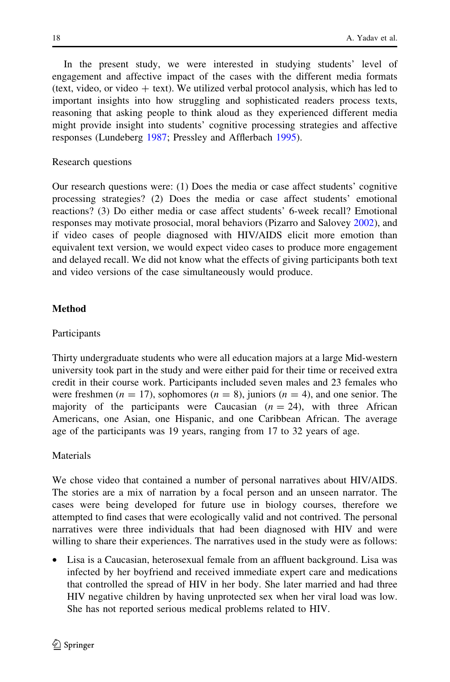In the present study, we were interested in studying students' level of engagement and affective impact of the cases with the different media formats (text, video, or video  $+$  text). We utilized verbal protocol analysis, which has led to important insights into how struggling and sophisticated readers process texts, reasoning that asking people to think aloud as they experienced different media might provide insight into students' cognitive processing strategies and affective responses (Lundeberg [1987](#page-21-0); Pressley and Afflerbach [1995\)](#page-21-0).

# Research questions

Our research questions were: (1) Does the media or case affect students' cognitive processing strategies? (2) Does the media or case affect students' emotional reactions? (3) Do either media or case affect students' 6-week recall? Emotional responses may motivate prosocial, moral behaviors (Pizarro and Salovey [2002](#page-21-0)), and if video cases of people diagnosed with HIV/AIDS elicit more emotion than equivalent text version, we would expect video cases to produce more engagement and delayed recall. We did not know what the effects of giving participants both text and video versions of the case simultaneously would produce.

# Method

# Participants

Thirty undergraduate students who were all education majors at a large Mid-western university took part in the study and were either paid for their time or received extra credit in their course work. Participants included seven males and 23 females who were freshmen ( $n = 17$ ), sophomores ( $n = 8$ ), juniors ( $n = 4$ ), and one senior. The majority of the participants were Caucasian  $(n = 24)$ , with three African Americans, one Asian, one Hispanic, and one Caribbean African. The average age of the participants was 19 years, ranging from 17 to 32 years of age.

# **Materials**

We chose video that contained a number of personal narratives about HIV/AIDS. The stories are a mix of narration by a focal person and an unseen narrator. The cases were being developed for future use in biology courses, therefore we attempted to find cases that were ecologically valid and not contrived. The personal narratives were three individuals that had been diagnosed with HIV and were willing to share their experiences. The narratives used in the study were as follows:

• Lisa is a Caucasian, heterosexual female from an affluent background. Lisa was infected by her boyfriend and received immediate expert care and medications that controlled the spread of HIV in her body. She later married and had three HIV negative children by having unprotected sex when her viral load was low. She has not reported serious medical problems related to HIV.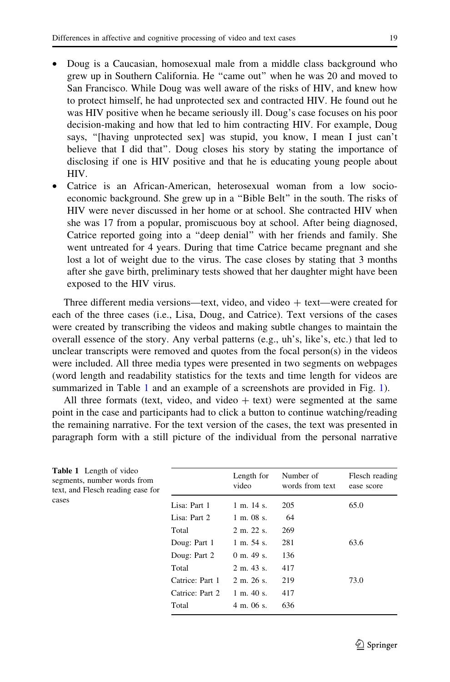- Doug is a Caucasian, homosexual male from a middle class background who grew up in Southern California. He ''came out'' when he was 20 and moved to San Francisco. While Doug was well aware of the risks of HIV, and knew how to protect himself, he had unprotected sex and contracted HIV. He found out he was HIV positive when he became seriously ill. Doug's case focuses on his poor decision-making and how that led to him contracting HIV. For example, Doug says, ''[having unprotected sex] was stupid, you know, I mean I just can't believe that I did that''. Doug closes his story by stating the importance of disclosing if one is HIV positive and that he is educating young people about HIV.
- Catrice is an African-American, heterosexual woman from a low socioeconomic background. She grew up in a ''Bible Belt'' in the south. The risks of HIV were never discussed in her home or at school. She contracted HIV when she was 17 from a popular, promiscuous boy at school. After being diagnosed, Catrice reported going into a ''deep denial'' with her friends and family. She went untreated for 4 years. During that time Catrice became pregnant and she lost a lot of weight due to the virus. The case closes by stating that 3 months after she gave birth, preliminary tests showed that her daughter might have been exposed to the HIV virus.

Three different media versions—text, video, and video  $+$  text—were created for each of the three cases (i.e., Lisa, Doug, and Catrice). Text versions of the cases were created by transcribing the videos and making subtle changes to maintain the overall essence of the story. Any verbal patterns (e.g., uh's, like's, etc.) that led to unclear transcripts were removed and quotes from the focal person(s) in the videos were included. All three media types were presented in two segments on webpages (word length and readability statistics for the texts and time length for videos are summarized in Table [1](#page-5-0) and an example of a screenshots are provided in Fig. 1).

All three formats (text, video, and video  $+$  text) were segmented at the same point in the case and participants had to click a button to continue watching/reading the remaining narrative. For the text version of the cases, the text was presented in paragraph form with a still picture of the individual from the personal narrative

| of video<br>r words from<br>eading ease for |                 | Length for<br>video              | Number of<br>words from text | Flesch reading<br>ease score |
|---------------------------------------------|-----------------|----------------------------------|------------------------------|------------------------------|
|                                             | Lisa: Part 1    | $1 \text{ m}$ . $14 \text{ s}$ . | 205                          | 65.0                         |
|                                             | Lisa: Part 2    | $1 \; \text{m}$ , 08 s.          | 64                           |                              |
|                                             | Total           | 2 m. 22 s.                       | 269                          |                              |
|                                             | Doug: Part 1    | 1 m. 54 s.                       | 281                          | 63.6                         |
|                                             | Doug: Part 2    | $0$ m, 49 s.                     | 136                          |                              |
|                                             | Total           | 2 m. 43 s.                       | 417                          |                              |
|                                             | Catrice: Part 1 | 2 m. 26 s.                       | 219                          | 73.0                         |
|                                             | Catrice: Part 2 | $1 \text{ m}$ . 40 s.            | 417                          |                              |
|                                             | Total           | 4 m. 06 s.                       | 636                          |                              |
|                                             |                 |                                  |                              |                              |

Table 1 Length segments, number text, and Flesch re cases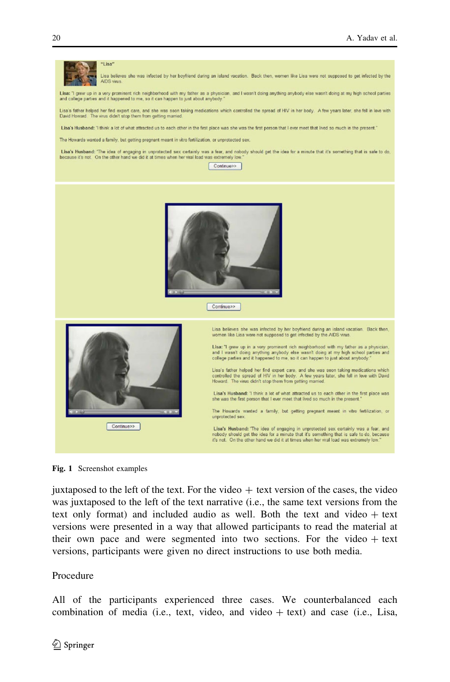<span id="page-5-0"></span>

Fig. 1 Screenshot examples

juxtaposed to the left of the text. For the video  $+$  text version of the cases, the video was juxtaposed to the left of the text narrative (i.e., the same text versions from the text only format) and included audio as well. Both the text and video  $+$  text versions were presented in a way that allowed participants to read the material at their own pace and were segmented into two sections. For the video  $+$  text versions, participants were given no direct instructions to use both media.

# Procedure

All of the participants experienced three cases. We counterbalanced each combination of media (i.e., text, video, and video  $+$  text) and case (i.e., Lisa,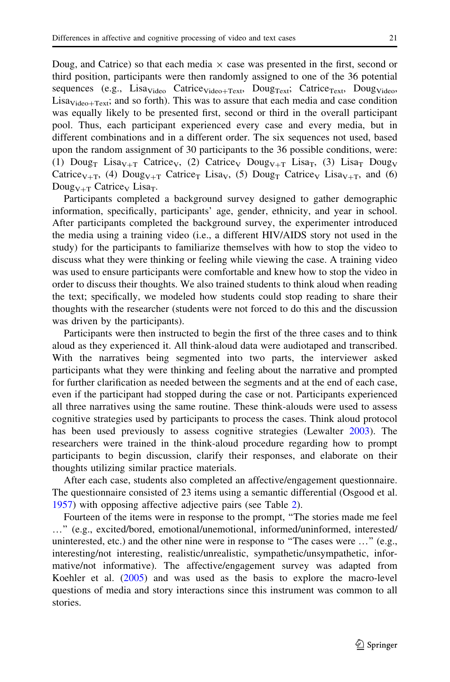Doug, and Catrice) so that each media  $\times$  case was presented in the first, second or third position, participants were then randomly assigned to one of the 36 potential sequences (e.g., Lisa<sub>Video</sub> Catrice<sub>Video+Text</sub>, Doug<sub>Text</sub>; Catrice<sub>Text</sub>, Doug<sub>Video</sub>, Lisa<sub>Video+Text</sub>; and so forth). This was to assure that each media and case condition was equally likely to be presented first, second or third in the overall participant pool. Thus, each participant experienced every case and every media, but in different combinations and in a different order. The six sequences not used, based upon the random assignment of 30 participants to the 36 possible conditions, were: (1) Doug<sub>T</sub> Lisa<sub>V+T</sub> Catrice<sub>V</sub>, (2) Catrice<sub>V</sub> Doug<sub>V+T</sub> Lisa<sub>T</sub>, (3) Lisa<sub>T</sub> Doug<sub>V</sub> Catrice<sub>V+T</sub>, (4) Doug<sub>V+T</sub> Catrice<sub>T</sub> Lisa<sub>V</sub>, (5) Doug<sub>T</sub> Catrice<sub>V</sub> Lisa<sub>V+T</sub>, and (6) Doug<sub>V+T</sub> Catrice<sub>V</sub> Lisa<sub>T</sub>.

Participants completed a background survey designed to gather demographic information, specifically, participants' age, gender, ethnicity, and year in school. After participants completed the background survey, the experimenter introduced the media using a training video (i.e., a different HIV/AIDS story not used in the study) for the participants to familiarize themselves with how to stop the video to discuss what they were thinking or feeling while viewing the case. A training video was used to ensure participants were comfortable and knew how to stop the video in order to discuss their thoughts. We also trained students to think aloud when reading the text; specifically, we modeled how students could stop reading to share their thoughts with the researcher (students were not forced to do this and the discussion was driven by the participants).

Participants were then instructed to begin the first of the three cases and to think aloud as they experienced it. All think-aloud data were audiotaped and transcribed. With the narratives being segmented into two parts, the interviewer asked participants what they were thinking and feeling about the narrative and prompted for further clarification as needed between the segments and at the end of each case, even if the participant had stopped during the case or not. Participants experienced all three narratives using the same routine. These think-alouds were used to assess cognitive strategies used by participants to process the cases. Think aloud protocol has been used previously to assess cognitive strategies (Lewalter [2003](#page-21-0)). The researchers were trained in the think-aloud procedure regarding how to prompt participants to begin discussion, clarify their responses, and elaborate on their thoughts utilizing similar practice materials.

After each case, students also completed an affective/engagement questionnaire. The questionnaire consisted of 23 items using a semantic differential (Osgood et al. [1957\)](#page-21-0) with opposing affective adjective pairs (see Table [2](#page-7-0)).

Fourteen of the items were in response to the prompt, ''The stories made me feel …'' (e.g., excited/bored, emotional/unemotional, informed/uninformed, interested/ uninterested, etc.) and the other nine were in response to "The cases were ..." (e.g., interesting/not interesting, realistic/unrealistic, sympathetic/unsympathetic, informative/not informative). The affective/engagement survey was adapted from Koehler et al. ([2005\)](#page-21-0) and was used as the basis to explore the macro-level questions of media and story interactions since this instrument was common to all stories.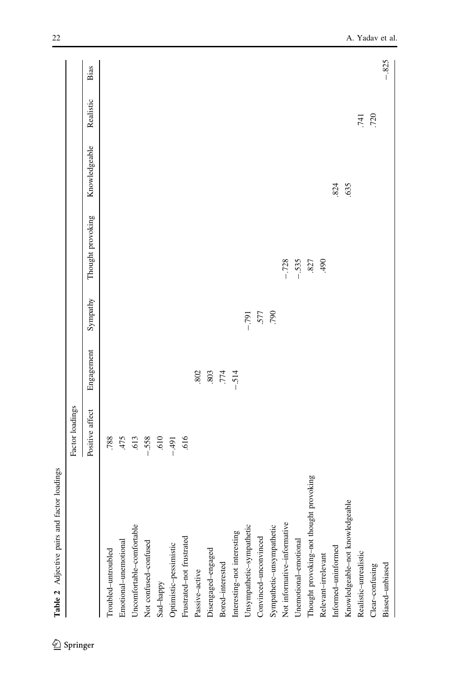<span id="page-7-0"></span>

|                                            | Factor loadings |                  |          |                   |               |           |         |
|--------------------------------------------|-----------------|------------------|----------|-------------------|---------------|-----------|---------|
|                                            | Positive affect | Engagement       | Sympathy | Thought provoking | Knowledgeable | Realistic | Bias    |
| Troubled-untroubled                        | .788            |                  |          |                   |               |           |         |
| Emotional-unemotional                      | .475            |                  |          |                   |               |           |         |
| Uncomfortable-comfortable                  | .613            |                  |          |                   |               |           |         |
| Not confused-confused                      | $-558$          |                  |          |                   |               |           |         |
| Sad-happy                                  | $010$ .         |                  |          |                   |               |           |         |
| Optimistic-pessimistic                     | $-491$          |                  |          |                   |               |           |         |
| Frustrated-not frustrated                  | .616            |                  |          |                   |               |           |         |
| Passive-active                             |                 | .802             |          |                   |               |           |         |
| Disengaged-engaged                         |                 |                  |          |                   |               |           |         |
| Bored-interested                           |                 | $.774$<br>$-514$ |          |                   |               |           |         |
| Interesting-not interesting                |                 |                  |          |                   |               |           |         |
| Unsympathetic-sympathetic                  |                 |                  | $-791$   |                   |               |           |         |
| Convinced-unconvinced                      |                 |                  | 577      |                   |               |           |         |
| Sympathetic-unsympathetic                  |                 |                  | .790     |                   |               |           |         |
| Not informative-informative                |                 |                  |          | $-.728$           |               |           |         |
| Unemotional-emotional                      |                 |                  |          | $-.535$           |               |           |         |
| provoking<br>Thought provoking-not thought |                 |                  |          | .827              |               |           |         |
| Relevant-irrelevant                        |                 |                  |          | 067.              |               |           |         |
| Informed-uninformed                        |                 |                  |          |                   | 824           |           |         |
| Knowledgeable-not knowledgeable            |                 |                  |          |                   | .635          |           |         |
| Realistic-unrealistic                      |                 |                  |          |                   |               | .741      |         |
| Clear-confusing                            |                 |                  |          |                   |               | .720      |         |
| Biased-unbiased                            |                 |                  |          |                   |               |           | $-.825$ |

Table 2 Adjective pairs and factor loadings Table 2 Adjective pairs and factor loadings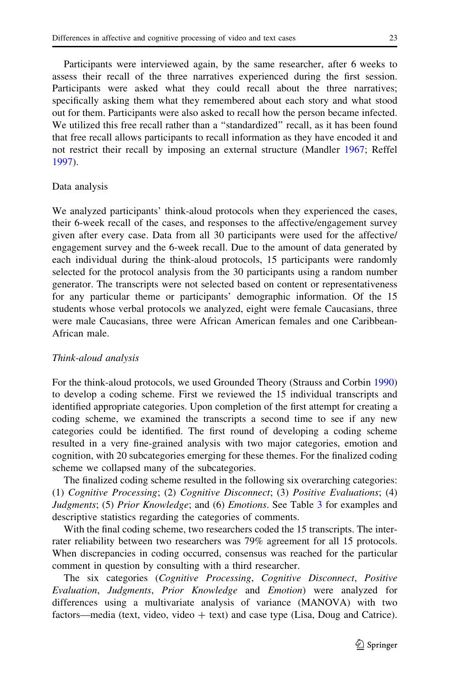Participants were interviewed again, by the same researcher, after 6 weeks to assess their recall of the three narratives experienced during the first session. Participants were asked what they could recall about the three narratives; specifically asking them what they remembered about each story and what stood out for them. Participants were also asked to recall how the person became infected. We utilized this free recall rather than a "standardized" recall, as it has been found that free recall allows participants to recall information as they have encoded it and not restrict their recall by imposing an external structure (Mandler [1967](#page-21-0); Reffel [1997\)](#page-21-0).

#### Data analysis

We analyzed participants' think-aloud protocols when they experienced the cases, their 6-week recall of the cases, and responses to the affective/engagement survey given after every case. Data from all 30 participants were used for the affective/ engagement survey and the 6-week recall. Due to the amount of data generated by each individual during the think-aloud protocols, 15 participants were randomly selected for the protocol analysis from the 30 participants using a random number generator. The transcripts were not selected based on content or representativeness for any particular theme or participants' demographic information. Of the 15 students whose verbal protocols we analyzed, eight were female Caucasians, three were male Caucasians, three were African American females and one Caribbean-African male.

## Think-aloud analysis

For the think-aloud protocols, we used Grounded Theory (Strauss and Corbin [1990](#page-21-0)) to develop a coding scheme. First we reviewed the 15 individual transcripts and identified appropriate categories. Upon completion of the first attempt for creating a coding scheme, we examined the transcripts a second time to see if any new categories could be identified. The first round of developing a coding scheme resulted in a very fine-grained analysis with two major categories, emotion and cognition, with 20 subcategories emerging for these themes. For the finalized coding scheme we collapsed many of the subcategories.

The finalized coding scheme resulted in the following six overarching categories: (1) Cognitive Processing; (2) Cognitive Disconnect; (3) Positive Evaluations; (4) Judgments; (5) Prior Knowledge; and (6) Emotions. See Table [3](#page-9-0) for examples and descriptive statistics regarding the categories of comments.

With the final coding scheme, two researchers coded the 15 transcripts. The interrater reliability between two researchers was 79% agreement for all 15 protocols. When discrepancies in coding occurred, consensus was reached for the particular comment in question by consulting with a third researcher.

The six categories (Cognitive Processing, Cognitive Disconnect, Positive Evaluation, Judgments, Prior Knowledge and Emotion) were analyzed for differences using a multivariate analysis of variance (MANOVA) with two factors—media (text, video, video  $+$  text) and case type (Lisa, Doug and Catrice).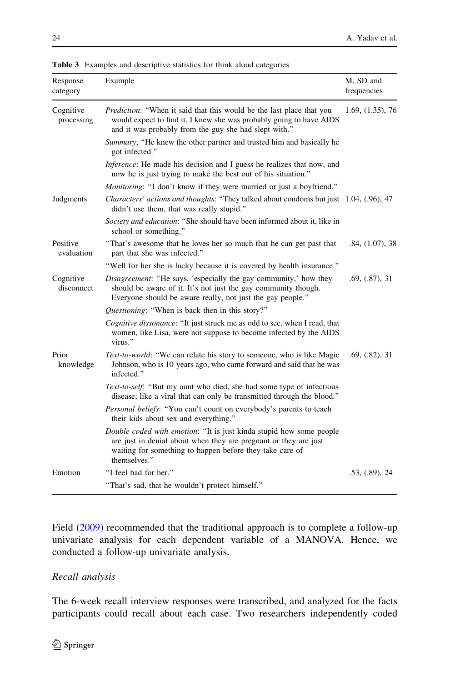| Response<br>category    | Example                                                                                                                                                                                                             | M, SD and<br>frequencies |
|-------------------------|---------------------------------------------------------------------------------------------------------------------------------------------------------------------------------------------------------------------|--------------------------|
| Cognitive<br>processing | <i>Prediction</i> : "When it said that this would be the last place that you<br>would expect to find it, I knew she was probably going to have AIDS<br>and it was probably from the guy she had slept with."        | 1.69, (1.35), 76         |
|                         | Summary; "He knew the other partner and trusted him and basically he<br>got infected."                                                                                                                              |                          |
|                         | Inference: He made his decision and I guess he realizes that now, and<br>now he is just trying to make the best out of his situation."                                                                              |                          |
|                         | <i>Monitoring</i> : "I don't know if they were married or just a boyfriend."                                                                                                                                        |                          |
| Judgments               | Characters' actions and thoughts: "They talked about condoms but just 1.04, (.96), 47<br>didn't use them, that was really stupid."                                                                                  |                          |
|                         | Society and education: "She should have been informed about it, like in<br>school or something."                                                                                                                    |                          |
| Positive<br>evaluation  | "That's awesome that he loves her so much that he can get past that<br>part that she was infected."                                                                                                                 | .84, (1.07), 38          |
|                         | "Well for her she is lucky because it is covered by health insurance."                                                                                                                                              |                          |
| Cognitive<br>disconnect | Disagreement: "He says, 'especially the gay community,' how they<br>should be aware of it. It's not just the gay community though.<br>Everyone should be aware really, not just the gay people."                    | .69, (.87), 31           |
|                         | Questioning: "When is back then in this story?"                                                                                                                                                                     |                          |
|                         | Cognitive dissonance: "It just struck me as odd to see, when I read, that<br>women, like Lisa, were not suppose to become infected by the AIDS<br>virus."                                                           |                          |
| Prior<br>knowledge      | Text-to-world: "We can relate his story to someone, who is like Magic<br>Johnson, who is 10 years ago, who came forward and said that he was<br>infected."                                                          | .69, (.82), 31           |
|                         | Text-to-self: "But my aunt who died, she had some type of infectious<br>disease, like a viral that can only be transmitted through the blood."                                                                      |                          |
|                         | <i>Personal beliefs</i> : "You can't count on everybody's parents to teach<br>their kids about sex and everything."                                                                                                 |                          |
|                         | Double coded with emotion: "It is just kinda stupid how some people<br>are just in denial about when they are pregnant or they are just<br>waiting for something to happen before they take care of<br>themselves." |                          |
| Emotion                 | "I feel bad for her."                                                                                                                                                                                               | .53, (.89), 24           |
|                         | "That's sad, that he wouldn't protect himself."                                                                                                                                                                     |                          |

<span id="page-9-0"></span>Table 3 Examples and descriptive statistics for think aloud categories

Field ([2009\)](#page-20-0) recommended that the traditional approach is to complete a follow-up univariate analysis for each dependent variable of a MANOVA. Hence, we conducted a follow-up univariate analysis.

# Recall analysis

The 6-week recall interview responses were transcribed, and analyzed for the facts participants could recall about each case. Two researchers independently coded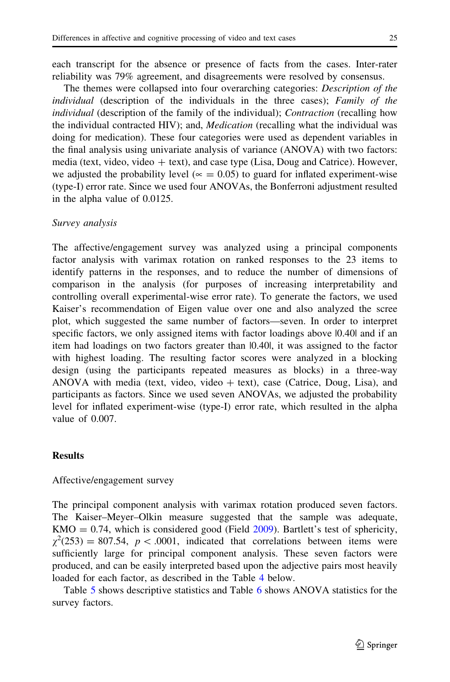each transcript for the absence or presence of facts from the cases. Inter-rater reliability was 79% agreement, and disagreements were resolved by consensus.

The themes were collapsed into four overarching categories: Description of the individual (description of the individuals in the three cases); Family of the individual (description of the family of the individual); Contraction (recalling how the individual contracted HIV); and, Medication (recalling what the individual was doing for medication). These four categories were used as dependent variables in the final analysis using univariate analysis of variance (ANOVA) with two factors: media (text, video, video  $+$  text), and case type (Lisa, Doug and Catrice). However, we adjusted the probability level ( $\approx$  = 0.05) to guard for inflated experiment-wise (type-I) error rate. Since we used four ANOVAs, the Bonferroni adjustment resulted in the alpha value of 0.0125.

#### Survey analysis

The affective/engagement survey was analyzed using a principal components factor analysis with varimax rotation on ranked responses to the 23 items to identify patterns in the responses, and to reduce the number of dimensions of comparison in the analysis (for purposes of increasing interpretability and controlling overall experimental-wise error rate). To generate the factors, we used Kaiser's recommendation of Eigen value over one and also analyzed the scree plot, which suggested the same number of factors—seven. In order to interpret specific factors, we only assigned items with factor loadings above |0.40| and if an item had loadings on two factors greater than |0.40|, it was assigned to the factor with highest loading. The resulting factor scores were analyzed in a blocking design (using the participants repeated measures as blocks) in a three-way ANOVA with media (text, video, video  $+$  text), case (Catrice, Doug, Lisa), and participants as factors. Since we used seven ANOVAs, we adjusted the probability level for inflated experiment-wise (type-I) error rate, which resulted in the alpha value of 0.007.

### Results

#### Affective/engagement survey

The principal component analysis with varimax rotation produced seven factors. The Kaiser–Meyer–Olkin measure suggested that the sample was adequate,  $KMO = 0.74$ , which is considered good (Field [2009](#page-20-0)). Bartlett's test of sphericity,  $\chi^2(253) = 807.54$ ,  $p < .0001$ , indicated that correlations between items were sufficiently large for principal component analysis. These seven factors were produced, and can be easily interpreted based upon the adjective pairs most heavily loaded for each factor, as described in the Table [4](#page-11-0) below.

Table [5](#page-12-0) shows descriptive statistics and Table [6](#page-13-0) shows ANOVA statistics for the survey factors.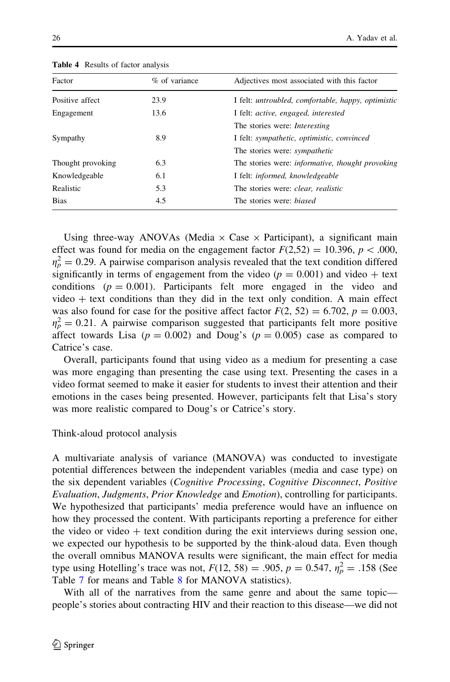| % of variance | Adjectives most associated with this factor                |
|---------------|------------------------------------------------------------|
| 23.9          | I felt: untroubled, comfortable, happy, optimistic         |
| 13.6          | I felt: <i>active</i> , <i>engaged</i> , <i>interested</i> |
|               | The stories were: <i>Interesting</i>                       |
| 8.9           | I felt: sympathetic, optimistic, convinced                 |
|               | The stories were: <i>sympathetic</i>                       |
| 6.3           | The stories were: informative, thought provoking           |
| 6.1           | I felt: informed, knowledgeable                            |
| 5.3           | The stories were: <i>clear</i> , <i>realistic</i>          |
| 4.5           | The stories were: <i>biased</i>                            |
|               |                                                            |

<span id="page-11-0"></span>Table 4 Results of factor analysis

Using three-way ANOVAs (Media  $\times$  Case  $\times$  Participant), a significant main effect was found for media on the engagement factor  $F(2,52) = 10.396$ ,  $p < .000$ ,  $\eta_p^2 = 0.29$ . A pairwise comparison analysis revealed that the text condition differed significantly in terms of engagement from the video ( $p = 0.001$ ) and video + text conditions ( $p = 0.001$ ). Participants felt more engaged in the video and video  $+$  text conditions than they did in the text only condition. A main effect was also found for case for the positive affect factor  $F(2, 52) = 6.702$ ,  $p = 0.003$ ,  $\eta_p^2 = 0.21$ . A pairwise comparison suggested that participants felt more positive affect towards Lisa ( $p = 0.002$ ) and Doug's ( $p = 0.005$ ) case as compared to Catrice's case.

Overall, participants found that using video as a medium for presenting a case was more engaging than presenting the case using text. Presenting the cases in a video format seemed to make it easier for students to invest their attention and their emotions in the cases being presented. However, participants felt that Lisa's story was more realistic compared to Doug's or Catrice's story.

Think-aloud protocol analysis

A multivariate analysis of variance (MANOVA) was conducted to investigate potential differences between the independent variables (media and case type) on the six dependent variables (Cognitive Processing, Cognitive Disconnect, Positive Evaluation, Judgments, Prior Knowledge and Emotion), controlling for participants. We hypothesized that participants' media preference would have an influence on how they processed the content. With participants reporting a preference for either the video or video  $+$  text condition during the exit interviews during session one, we expected our hypothesis to be supported by the think-aloud data. Even though the overall omnibus MANOVA results were significant, the main effect for media type using Hotelling's trace was not,  $F(12, 58) = .905$ ,  $p = 0.547$ ,  $\eta_p^2 = .158$  (See Table [7](#page-13-0) for means and Table [8](#page-14-0) for MANOVA statistics).

With all of the narratives from the same genre and about the same topic people's stories about contracting HIV and their reaction to this disease—we did not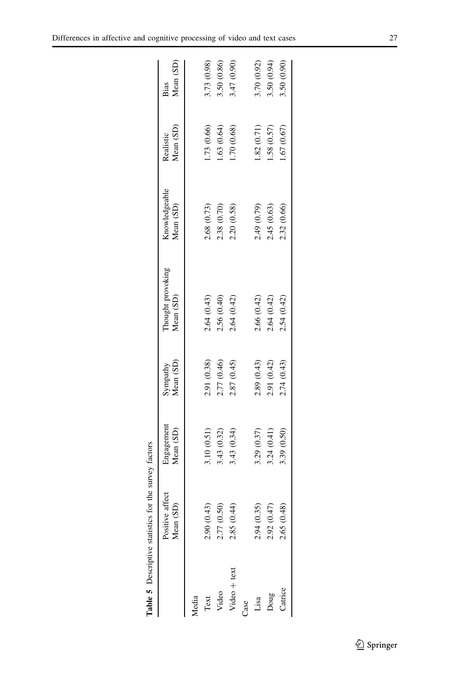<span id="page-12-0"></span>

| Table 5 Descriptive statistics |                                   | for the survey factors  |                       |                                 |                            |                        |                   |
|--------------------------------|-----------------------------------|-------------------------|-----------------------|---------------------------------|----------------------------|------------------------|-------------------|
|                                | Positive affect<br>(GS)<br>Mean ( | Engagement<br>Mean (SD) | Sympathy<br>Mean (SD) | Thought provoking<br>$Mean(SD)$ | Knowledgeable<br>Mean (SD) | Realistic<br>Mean (SD) | Mean (SD)<br>Bias |
| Media                          |                                   |                         |                       |                                 |                            |                        |                   |
| Text                           | 2.90(0.43)                        | 3.10(0.51)              | 2.91 (0.38)           | 2.64(0.43)                      | 2.68 (0.73)                | 1.73 (0.66)            | 3.73 (0.98)       |
| Video                          | 2.77 (0.50)                       | 3.43 (0.32)             | 2.77 (0.46)           | 2.56 (0.40)                     | 2.38 (0.70)                | 1.63(0.64)             | 3.50 (0.86)       |
| $Video + text$                 | $\frac{44}{3}$<br>2.85(0.4)       | 3.43(0.34)              | 2.87 (0.45)           | 2.64 (0.42)                     | 2.20 (0.58)                | 1.70(0.68)             | 3.47 (0.90)       |
| Case                           |                                   |                         |                       |                                 |                            |                        |                   |
| Lisa                           | 2.94 (0.35)                       | 3.29 (0.37)             | 2.89 (0.43)           | 2.66 (0.42)                     | 2.49 (0.79)                | (.82(0.71)             | 3.70 (0.92)       |
| Doug                           | 2.92(0.47)                        | 3.24(0.41)              | 2.91 (0.42)           | 2.64(0.42)                      | 2.45 (0.63)                | (.58(0.57))            | 3.50 (0.94)       |
| Catrice                        | 2.65 (0.48)                       | 3.39 (0.50)             | 2.74 (0.43)           | 2.54 (0.42)                     | 2.32 (0.66)                | 1.67(0.67)             | 3.50 (0.90)       |
|                                |                                   |                         |                       |                                 |                            |                        |                   |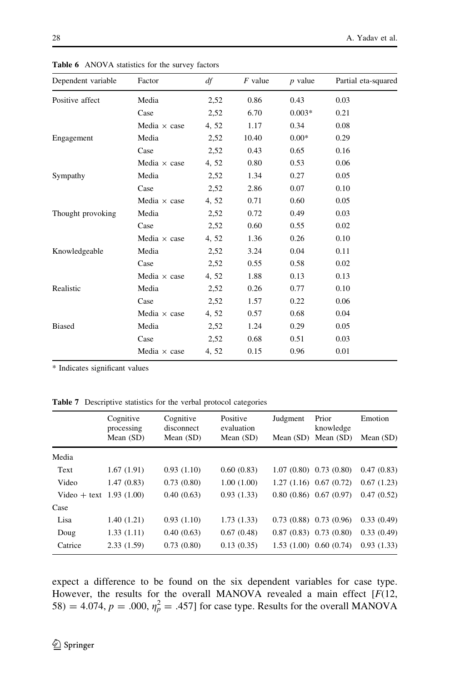| Dependent variable | Factor              | df    | $F$ value | $p$ value | Partial eta-squared |
|--------------------|---------------------|-------|-----------|-----------|---------------------|
| Positive affect    | Media               | 2,52  | 0.86      | 0.43      | 0.03                |
|                    | Case                | 2,52  | 6.70      | $0.003*$  | 0.21                |
|                    | Media $\times$ case | 4, 52 | 1.17      | 0.34      | 0.08                |
| Engagement         | Media               | 2,52  | 10.40     | $0.00*$   | 0.29                |
|                    | Case                | 2,52  | 0.43      | 0.65      | 0.16                |
|                    | Media $\times$ case | 4, 52 | 0.80      | 0.53      | 0.06                |
| Sympathy           | Media               | 2,52  | 1.34      | 0.27      | 0.05                |
|                    | Case                | 2,52  | 2.86      | 0.07      | 0.10                |
|                    | Media $\times$ case | 4, 52 | 0.71      | 0.60      | 0.05                |
| Thought provoking  | Media               | 2,52  | 0.72      | 0.49      | 0.03                |
|                    | Case                | 2,52  | 0.60      | 0.55      | 0.02                |
|                    | Media $\times$ case | 4, 52 | 1.36      | 0.26      | 0.10                |
| Knowledgeable      | Media               | 2,52  | 3.24      | 0.04      | 0.11                |
|                    | Case                | 2,52  | 0.55      | 0.58      | 0.02                |
|                    | Media $\times$ case | 4, 52 | 1.88      | 0.13      | 0.13                |
| Realistic          | Media               | 2,52  | 0.26      | 0.77      | 0.10                |
|                    | Case                | 2,52  | 1.57      | 0.22      | 0.06                |
|                    | Media $\times$ case | 4, 52 | 0.57      | 0.68      | 0.04                |
| <b>Biased</b>      | Media               | 2,52  | 1.24      | 0.29      | 0.05                |
|                    | Case                | 2,52  | 0.68      | 0.51      | 0.03                |
|                    | Media $\times$ case | 4,52  | 0.15      | 0.96      | 0.01                |

<span id="page-13-0"></span>Table 6 ANOVA statistics for the survey factors

\* Indicates significant values

Table 7 Descriptive statistics for the verbal protocol categories

|                           | Cognitive                 | Cognitive                 | Positive                | Judgment | Prior                            | Emotion     |
|---------------------------|---------------------------|---------------------------|-------------------------|----------|----------------------------------|-------------|
|                           | processing<br>Mean $(SD)$ | disconnect<br>Mean $(SD)$ | evaluation<br>Mean (SD) |          | knowledge<br>Mean (SD) Mean (SD) | Mean $(SD)$ |
| Media                     |                           |                           |                         |          |                                  |             |
| Text                      | 1.67(1.91)                | 0.93(1.10)                | 0.60(0.83)              |          | $1.07(0.80)$ 0.73 $(0.80)$       | 0.47(0.83)  |
| Video                     | 1.47(0.83)                | 0.73(0.80)                | 1.00(1.00)              |          | $1.27(1.16)$ 0.67 $(0.72)$       | 0.67(1.23)  |
| Video + text $1.93(1.00)$ |                           | 0.40(0.63)                | 0.93(1.33)              |          | $0.80(0.86)$ $0.67(0.97)$        | 0.47(0.52)  |
| Case                      |                           |                           |                         |          |                                  |             |
| Lisa                      | 1.40(1.21)                | 0.93(1.10)                | 1.73(1.33)              |          | $0.73(0.88)$ $0.73(0.96)$        | 0.33(0.49)  |
| Doug                      | 1.33(1.11)                | 0.40(0.63)                | 0.67(0.48)              |          | $0.87(0.83)$ $0.73(0.80)$        | 0.33(0.49)  |
| Catrice                   | 2.33(1.59)                | 0.73(0.80)                | 0.13(0.35)              |          | $1.53(1.00)$ 0.60 (0.74)         | 0.93(1.33)  |

expect a difference to be found on the six dependent variables for case type. However, the results for the overall MANOVA revealed a main effect  $[F(12, 12)]$ 58) = 4.074,  $p = .000$ ,  $\eta_p^2 = .457$ ] for case type. Results for the overall MANOVA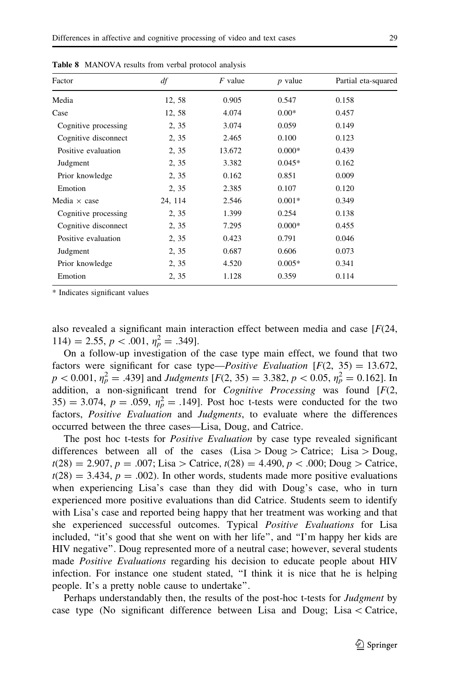| df      | $F$ value | $p$ value | Partial eta-squared |
|---------|-----------|-----------|---------------------|
| 12, 58  | 0.905     | 0.547     | 0.158               |
| 12, 58  | 4.074     | $0.00*$   | 0.457               |
| 2, 35   | 3.074     | 0.059     | 0.149               |
| 2, 35   | 2.465     | 0.100     | 0.123               |
| 2, 35   | 13.672    | $0.000*$  | 0.439               |
| 2, 35   | 3.382     | $0.045*$  | 0.162               |
| 2, 35   | 0.162     | 0.851     | 0.009               |
| 2, 35   | 2.385     | 0.107     | 0.120               |
| 24, 114 | 2.546     | $0.001*$  | 0.349               |
| 2, 35   | 1.399     | 0.254     | 0.138               |
| 2, 35   | 7.295     | $0.000*$  | 0.455               |
| 2, 35   | 0.423     | 0.791     | 0.046               |
| 2, 35   | 0.687     | 0.606     | 0.073               |
| 2, 35   | 4.520     | $0.005*$  | 0.341               |
| 2, 35   | 1.128     | 0.359     | 0.114               |
|         |           |           |                     |

<span id="page-14-0"></span>Table 8 MANOVA results from verbal protocol analysis

\* Indicates significant values

also revealed a significant main interaction effect between media and case  $[F(24,$ 114) = 2.55,  $p < .001$ ,  $\eta_p^2 = .349$ .

On a follow-up investigation of the case type main effect, we found that two factors were significant for case type—*Positive Evaluation*  $[F(2, 35) = 13.672$ ,  $p < 0.001$ ,  $\eta_p^2 = .439$ ] and *Judgments* [ $F(2, 35) = 3.382$ ,  $p < 0.05$ ,  $\eta_p^2 = 0.162$ ]. In addition, a non-significant trend for Cognitive Processing was found  $[F(2,$ 35) = 3.074,  $p = .059$ ,  $\eta_p^2 = .149$ . Post hoc t-tests were conducted for the two factors, Positive Evaluation and Judgments, to evaluate where the differences occurred between the three cases—Lisa, Doug, and Catrice.

The post hoc t-tests for *Positive Evaluation* by case type revealed significant differences between all of the cases (Lisa > Doug > Catrice; Lisa > Doug,  $t(28) = 2.907$ ,  $p = .007$ ; Lisa  $>$  Catrice,  $t(28) = 4.490$ ,  $p < .000$ ; Doug  $>$  Catrice,  $t(28) = 3.434$ ,  $p = .002$ ). In other words, students made more positive evaluations when experiencing Lisa's case than they did with Doug's case, who in turn experienced more positive evaluations than did Catrice. Students seem to identify with Lisa's case and reported being happy that her treatment was working and that she experienced successful outcomes. Typical *Positive Evaluations* for Lisa included, "it's good that she went on with her life", and "I'm happy her kids are HIV negative''. Doug represented more of a neutral case; however, several students made *Positive Evaluations* regarding his decision to educate people about HIV infection. For instance one student stated, "I think it is nice that he is helping people. It's a pretty noble cause to undertake''.

Perhaps understandably then, the results of the post-hoc t-tests for *Judgment* by case type (No significant difference between Lisa and Doug; Lisa < Catrice,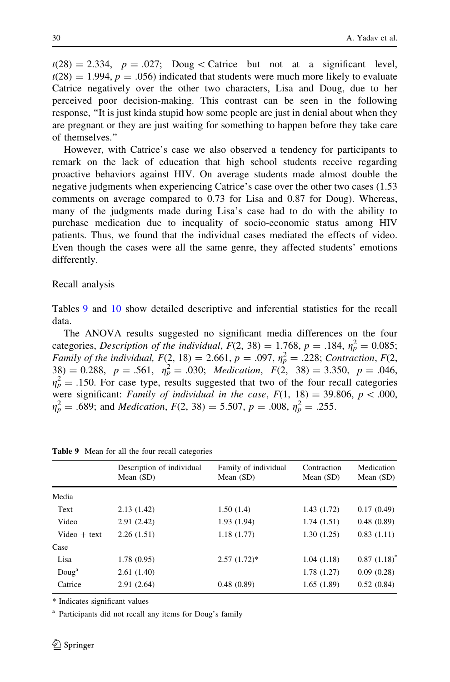$t(28) = 2.334$ ,  $p = .027$ ; Doug < Catrice but not at a significant level,  $t(28) = 1.994$ ,  $p = .056$ ) indicated that students were much more likely to evaluate Catrice negatively over the other two characters, Lisa and Doug, due to her perceived poor decision-making. This contrast can be seen in the following response, ''It is just kinda stupid how some people are just in denial about when they are pregnant or they are just waiting for something to happen before they take care of themselves.''

However, with Catrice's case we also observed a tendency for participants to remark on the lack of education that high school students receive regarding proactive behaviors against HIV. On average students made almost double the negative judgments when experiencing Catrice's case over the other two cases (1.53 comments on average compared to 0.73 for Lisa and 0.87 for Doug). Whereas, many of the judgments made during Lisa's case had to do with the ability to purchase medication due to inequality of socio-economic status among HIV patients. Thus, we found that the individual cases mediated the effects of video. Even though the cases were all the same genre, they affected students' emotions differently.

#### Recall analysis

Tables 9 and [10](#page-16-0) show detailed descriptive and inferential statistics for the recall data.

The ANOVA results suggested no significant media differences on the four categories, *Description of the individual*,  $F(2, 38) = 1.768$ ,  $p = .184$ ,  $\eta_p^2 = 0.085$ ; Family of the individual,  $F(2, 18) = 2.661$ ,  $p = .097$ ,  $\eta_p^2 = .228$ ; Contraction,  $F(2, 18) = 2.661$ ,  $p = .097$ ,  $\eta_p^2 = .228$ ; Contraction,  $F(2, 18) = 2.661$ ,  $p = .097$ ,  $\eta_p^2 = .228$ ; Contraction,  $F(2, 18) = .097$ .  $38) = 0.288, p = .561, \eta_p^2 = .030; \text{ Medication}, F(2, 38) = 3.350, p = .046,$  $\eta_p^2 = .150$ . For case type, results suggested that two of the four recall categories were significant: Family of individual in the case,  $F(1, 18) = 39.806$ ,  $p < 0.000$ ,  $\eta_p^2 = .689$ ; and *Medication*,  $F(2, 38) = 5.507$ ,  $p = .008$ ,  $\eta_p^2 = .255$ .

|                   | Description of individual<br>Mean (SD) | Family of individual<br>Mean $(SD)$ | Contraction<br>Mean $(SD)$ | Medication<br>Mean $(SD)$ |
|-------------------|----------------------------------------|-------------------------------------|----------------------------|---------------------------|
| Media             |                                        |                                     |                            |                           |
| Text              | 2.13(1.42)                             | 1.50(1.4)                           | 1.43(1.72)                 | 0.17(0.49)                |
| Video             | 2.91(2.42)                             | 1.93(1.94)                          | 1.74(1.51)                 | 0.48(0.89)                |
| $Video + text$    | 2.26(1.51)                             | 1.18(1.77)                          | 1.30(1.25)                 | 0.83(1.11)                |
| Case              |                                        |                                     |                            |                           |
| Lisa              | 1.78(0.95)                             | $2.57(1.72)^*$                      | 1.04(1.18)                 | $0.87(1.18)^*$            |
| Doug <sup>a</sup> | 2.61(1.40)                             |                                     | 1.78(1.27)                 | 0.09(0.28)                |
| Catrice           | 2.91(2.64)                             | 0.48(0.89)                          | 1.65(1.89)                 | 0.52(0.84)                |

Table 9 Mean for all the four recall categories

\* Indicates significant values

<sup>a</sup> Participants did not recall any items for Doug's family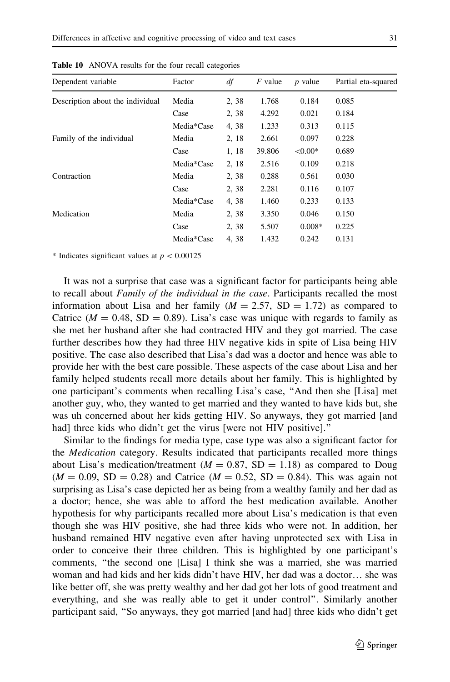| Dependent variable               | Factor     | df    | $F$ value | $p$ value | Partial eta-squared |
|----------------------------------|------------|-------|-----------|-----------|---------------------|
| Description about the individual | Media      | 2, 38 | 1.768     | 0.184     | 0.085               |
|                                  | Case       | 2, 38 | 4.292     | 0.021     | 0.184               |
|                                  | Media*Case | 4, 38 | 1.233     | 0.313     | 0.115               |
| Family of the individual         | Media      | 2, 18 | 2.661     | 0.097     | 0.228               |
|                                  | Case       | 1, 18 | 39.806    | $<0.00*$  | 0.689               |
|                                  | Media*Case | 2, 18 | 2.516     | 0.109     | 0.218               |
| Contraction                      | Media      | 2, 38 | 0.288     | 0.561     | 0.030               |
|                                  | Case       | 2, 38 | 2.281     | 0.116     | 0.107               |
|                                  | Media*Case | 4, 38 | 1.460     | 0.233     | 0.133               |
| Medication                       | Media      | 2, 38 | 3.350     | 0.046     | 0.150               |
|                                  | Case       | 2, 38 | 5.507     | $0.008*$  | 0.225               |
|                                  | Media*Case | 4, 38 | 1.432     | 0.242     | 0.131               |

<span id="page-16-0"></span>Table 10 ANOVA results for the four recall categories

\* Indicates significant values at  $p < 0.00125$ 

It was not a surprise that case was a significant factor for participants being able to recall about *Family of the individual in the case*. Participants recalled the most information about Lisa and her family ( $M = 2.57$ , SD = 1.72) as compared to Catrice  $(M = 0.48, SD = 0.89)$ . Lisa's case was unique with regards to family as she met her husband after she had contracted HIV and they got married. The case further describes how they had three HIV negative kids in spite of Lisa being HIV positive. The case also described that Lisa's dad was a doctor and hence was able to provide her with the best care possible. These aspects of the case about Lisa and her family helped students recall more details about her family. This is highlighted by one participant's comments when recalling Lisa's case, ''And then she [Lisa] met another guy, who, they wanted to get married and they wanted to have kids but, she was uh concerned about her kids getting HIV. So anyways, they got married [and had] three kids who didn't get the virus [were not HIV positive]."

Similar to the findings for media type, case type was also a significant factor for the *Medication* category. Results indicated that participants recalled more things about Lisa's medication/treatment ( $M = 0.87$ , SD = 1.18) as compared to Doug  $(M = 0.09, SD = 0.28)$  and Catrice  $(M = 0.52, SD = 0.84)$ . This was again not surprising as Lisa's case depicted her as being from a wealthy family and her dad as a doctor; hence, she was able to afford the best medication available. Another hypothesis for why participants recalled more about Lisa's medication is that even though she was HIV positive, she had three kids who were not. In addition, her husband remained HIV negative even after having unprotected sex with Lisa in order to conceive their three children. This is highlighted by one participant's comments, ''the second one [Lisa] I think she was a married, she was married woman and had kids and her kids didn't have HIV, her dad was a doctor… she was like better off, she was pretty wealthy and her dad got her lots of good treatment and everything, and she was really able to get it under control''. Similarly another participant said, ''So anyways, they got married [and had] three kids who didn't get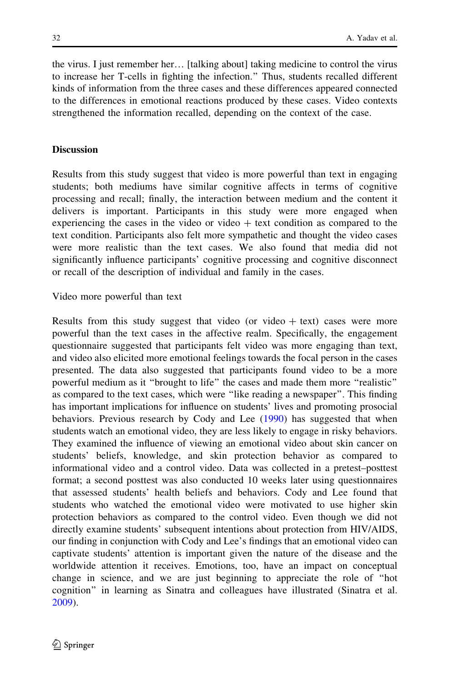the virus. I just remember her… [talking about] taking medicine to control the virus to increase her T-cells in fighting the infection.'' Thus, students recalled different kinds of information from the three cases and these differences appeared connected to the differences in emotional reactions produced by these cases. Video contexts strengthened the information recalled, depending on the context of the case.

# **Discussion**

Results from this study suggest that video is more powerful than text in engaging students; both mediums have similar cognitive affects in terms of cognitive processing and recall; finally, the interaction between medium and the content it delivers is important. Participants in this study were more engaged when experiencing the cases in the video or video  $+$  text condition as compared to the text condition. Participants also felt more sympathetic and thought the video cases were more realistic than the text cases. We also found that media did not significantly influence participants' cognitive processing and cognitive disconnect or recall of the description of individual and family in the cases.

Video more powerful than text

Results from this study suggest that video (or video  $+$  text) cases were more powerful than the text cases in the affective realm. Specifically, the engagement questionnaire suggested that participants felt video was more engaging than text, and video also elicited more emotional feelings towards the focal person in the cases presented. The data also suggested that participants found video to be a more powerful medium as it ''brought to life'' the cases and made them more ''realistic'' as compared to the text cases, which were ''like reading a newspaper''. This finding has important implications for influence on students' lives and promoting prosocial behaviors. Previous research by Cody and Lee [\(1990](#page-20-0)) has suggested that when students watch an emotional video, they are less likely to engage in risky behaviors. They examined the influence of viewing an emotional video about skin cancer on students' beliefs, knowledge, and skin protection behavior as compared to informational video and a control video. Data was collected in a pretest–posttest format; a second posttest was also conducted 10 weeks later using questionnaires that assessed students' health beliefs and behaviors. Cody and Lee found that students who watched the emotional video were motivated to use higher skin protection behaviors as compared to the control video. Even though we did not directly examine students' subsequent intentions about protection from HIV/AIDS, our finding in conjunction with Cody and Lee's findings that an emotional video can captivate students' attention is important given the nature of the disease and the worldwide attention it receives. Emotions, too, have an impact on conceptual change in science, and we are just beginning to appreciate the role of ''hot cognition'' in learning as Sinatra and colleagues have illustrated (Sinatra et al. [2009\)](#page-21-0).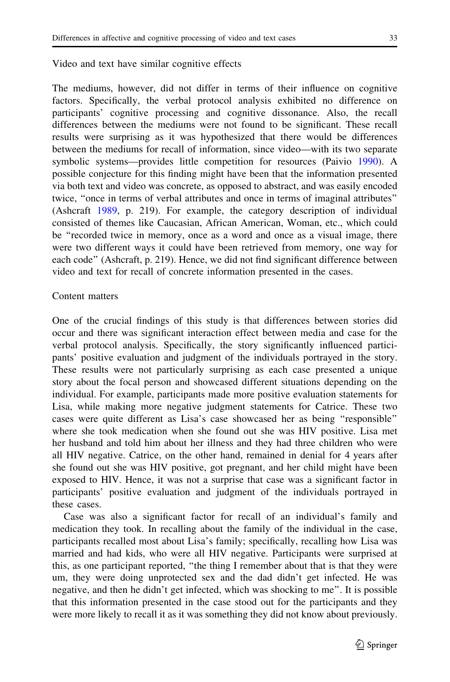### Video and text have similar cognitive effects

The mediums, however, did not differ in terms of their influence on cognitive factors. Specifically, the verbal protocol analysis exhibited no difference on participants' cognitive processing and cognitive dissonance. Also, the recall differences between the mediums were not found to be significant. These recall results were surprising as it was hypothesized that there would be differences between the mediums for recall of information, since video—with its two separate symbolic systems—provides little competition for resources (Paivio [1990](#page-21-0)). A possible conjecture for this finding might have been that the information presented via both text and video was concrete, as opposed to abstract, and was easily encoded twice, ''once in terms of verbal attributes and once in terms of imaginal attributes'' (Ashcraft [1989,](#page-20-0) p. 219). For example, the category description of individual consisted of themes like Caucasian, African American, Woman, etc., which could be ''recorded twice in memory, once as a word and once as a visual image, there were two different ways it could have been retrieved from memory, one way for each code'' (Ashcraft, p. 219). Hence, we did not find significant difference between video and text for recall of concrete information presented in the cases.

#### Content matters

One of the crucial findings of this study is that differences between stories did occur and there was significant interaction effect between media and case for the verbal protocol analysis. Specifically, the story significantly influenced participants' positive evaluation and judgment of the individuals portrayed in the story. These results were not particularly surprising as each case presented a unique story about the focal person and showcased different situations depending on the individual. For example, participants made more positive evaluation statements for Lisa, while making more negative judgment statements for Catrice. These two cases were quite different as Lisa's case showcased her as being ''responsible'' where she took medication when she found out she was HIV positive. Lisa met her husband and told him about her illness and they had three children who were all HIV negative. Catrice, on the other hand, remained in denial for 4 years after she found out she was HIV positive, got pregnant, and her child might have been exposed to HIV. Hence, it was not a surprise that case was a significant factor in participants' positive evaluation and judgment of the individuals portrayed in these cases.

Case was also a significant factor for recall of an individual's family and medication they took. In recalling about the family of the individual in the case, participants recalled most about Lisa's family; specifically, recalling how Lisa was married and had kids, who were all HIV negative. Participants were surprised at this, as one participant reported, ''the thing I remember about that is that they were um, they were doing unprotected sex and the dad didn't get infected. He was negative, and then he didn't get infected, which was shocking to me''. It is possible that this information presented in the case stood out for the participants and they were more likely to recall it as it was something they did not know about previously.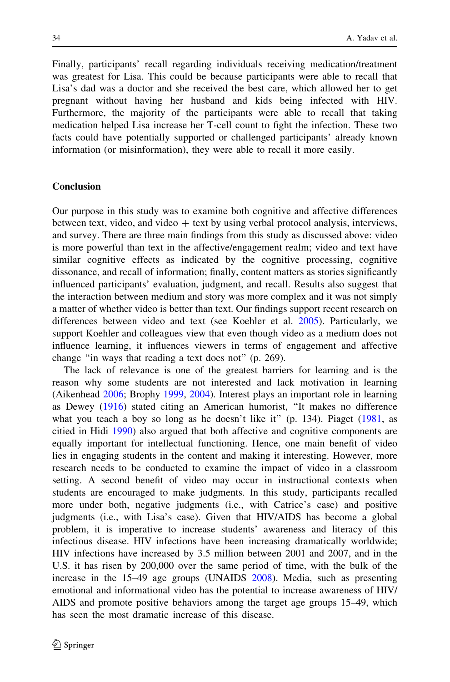Finally, participants' recall regarding individuals receiving medication/treatment was greatest for Lisa. This could be because participants were able to recall that Lisa's dad was a doctor and she received the best care, which allowed her to get pregnant without having her husband and kids being infected with HIV. Furthermore, the majority of the participants were able to recall that taking medication helped Lisa increase her T-cell count to fight the infection. These two facts could have potentially supported or challenged participants' already known information (or misinformation), they were able to recall it more easily.

#### Conclusion

Our purpose in this study was to examine both cognitive and affective differences between text, video, and video  $+$  text by using verbal protocol analysis, interviews, and survey. There are three main findings from this study as discussed above: video is more powerful than text in the affective/engagement realm; video and text have similar cognitive effects as indicated by the cognitive processing, cognitive dissonance, and recall of information; finally, content matters as stories significantly influenced participants' evaluation, judgment, and recall. Results also suggest that the interaction between medium and story was more complex and it was not simply a matter of whether video is better than text. Our findings support recent research on differences between video and text (see Koehler et al. [2005](#page-21-0)). Particularly, we support Koehler and colleagues view that even though video as a medium does not influence learning, it influences viewers in terms of engagement and affective change ''in ways that reading a text does not'' (p. 269).

The lack of relevance is one of the greatest barriers for learning and is the reason why some students are not interested and lack motivation in learning (Aikenhead [2006;](#page-20-0) Brophy [1999,](#page-20-0) [2004](#page-20-0)). Interest plays an important role in learning as Dewey ([1916\)](#page-20-0) stated citing an American humorist, ''It makes no difference what you teach a boy so long as he doesn't like it" (p. 134). Piaget [\(1981](#page-21-0), as citied in Hidi [1990](#page-21-0)) also argued that both affective and cognitive components are equally important for intellectual functioning. Hence, one main benefit of video lies in engaging students in the content and making it interesting. However, more research needs to be conducted to examine the impact of video in a classroom setting. A second benefit of video may occur in instructional contexts when students are encouraged to make judgments. In this study, participants recalled more under both, negative judgments (i.e., with Catrice's case) and positive judgments (i.e., with Lisa's case). Given that HIV/AIDS has become a global problem, it is imperative to increase students' awareness and literacy of this infectious disease. HIV infections have been increasing dramatically worldwide; HIV infections have increased by 3.5 million between 2001 and 2007, and in the U.S. it has risen by 200,000 over the same period of time, with the bulk of the increase in the 15–49 age groups (UNAIDS [2008](#page-21-0)). Media, such as presenting emotional and informational video has the potential to increase awareness of HIV/ AIDS and promote positive behaviors among the target age groups 15–49, which has seen the most dramatic increase of this disease.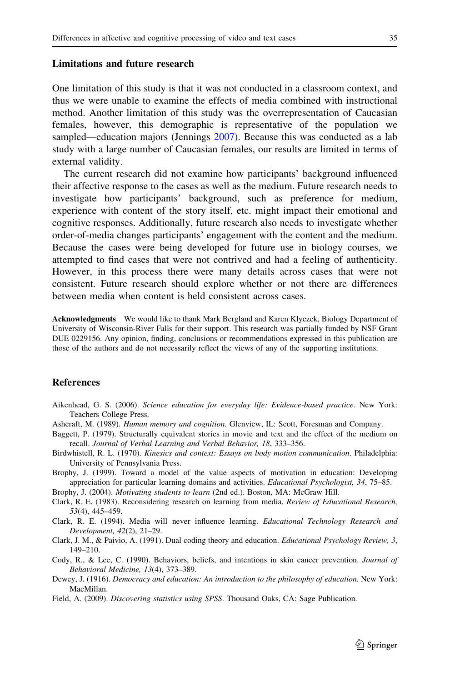#### <span id="page-20-0"></span>Limitations and future research

One limitation of this study is that it was not conducted in a classroom context, and thus we were unable to examine the effects of media combined with instructional method. Another limitation of this study was the overrepresentation of Caucasian females, however, this demographic is representative of the population we sampled—education majors (Jennings [2007](#page-21-0)). Because this was conducted as a lab study with a large number of Caucasian females, our results are limited in terms of external validity.

The current research did not examine how participants' background influenced their affective response to the cases as well as the medium. Future research needs to investigate how participants' background, such as preference for medium, experience with content of the story itself, etc. might impact their emotional and cognitive responses. Additionally, future research also needs to investigate whether order-of-media changes participants' engagement with the content and the medium. Because the cases were being developed for future use in biology courses, we attempted to find cases that were not contrived and had a feeling of authenticity. However, in this process there were many details across cases that were not consistent. Future research should explore whether or not there are differences between media when content is held consistent across cases.

Acknowledgments We would like to thank Mark Bergland and Karen Klyczek, Biology Department of University of Wisconsin-River Falls for their support. This research was partially funded by NSF Grant DUE 0229156. Any opinion, finding, conclusions or recommendations expressed in this publication are those of the authors and do not necessarily reflect the views of any of the supporting institutions.

#### References

- Aikenhead, G. S. (2006). Science education for everyday life: Evidence-based practice. New York: Teachers College Press.
- Ashcraft, M. (1989). Human memory and cognition. Glenview, IL: Scott, Foresman and Company.

Baggett, P. (1979). Structurally equivalent stories in movie and text and the effect of the medium on recall. Journal of Verbal Learning and Verbal Behavior, 18, 333–356.

- Birdwhistell, R. L. (1970). Kinesics and context: Essays on body motion communication. Philadelphia: University of Pennsylvania Press.
- Brophy, J. (1999). Toward a model of the value aspects of motivation in education: Developing appreciation for particular learning domains and activities. Educational Psychologist, 34, 75–85.

Brophy, J. (2004). Motivating students to learn (2nd ed.). Boston, MA: McGraw Hill.

- Clark, R. E. (1983). Reconsidering research on learning from media. Review of Educational Research, 53(4), 445–459.
- Clark, R. E. (1994). Media will never influence learning. Educational Technology Research and Development, 42(2), 21–29.
- Clark, J. M., & Paivio, A. (1991). Dual coding theory and education. Educational Psychology Review, 3, 149–210.
- Cody, R., & Lee, C. (1990). Behaviors, beliefs, and intentions in skin cancer prevention. Journal of Behavioral Medicine, 13(4), 373–389.
- Dewey, J. (1916). *Democracy and education: An introduction to the philosophy of education*. New York: MacMillan.
- Field, A. (2009). Discovering statistics using SPSS. Thousand Oaks, CA: Sage Publication.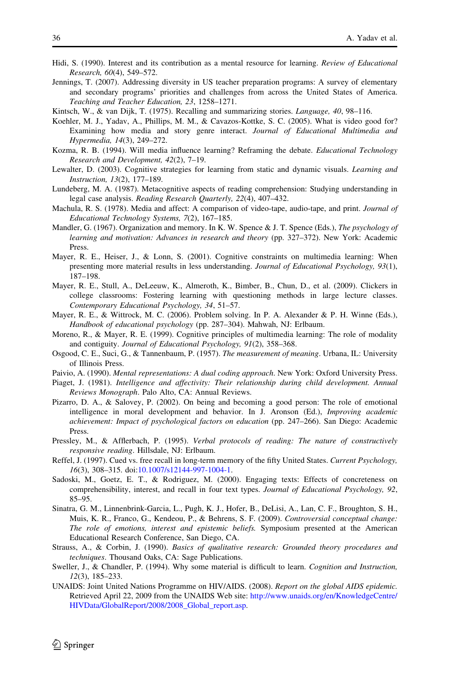- <span id="page-21-0"></span>Hidi, S. (1990). Interest and its contribution as a mental resource for learning. Review of Educational Research, 60(4), 549–572.
- Jennings, T. (2007). Addressing diversity in US teacher preparation programs: A survey of elementary and secondary programs' priorities and challenges from across the United States of America. Teaching and Teacher Education, 23, 1258–1271.
- Kintsch, W., & van Dijk, T. (1975). Recalling and summarizing stories. Language, 40, 98–116.
- Koehler, M. J., Yadav, A., Phillips, M. M., & Cavazos-Kottke, S. C. (2005). What is video good for? Examining how media and story genre interact. Journal of Educational Multimedia and Hypermedia, 14(3), 249–272.
- Kozma, R. B. (1994). Will media influence learning? Reframing the debate. *Educational Technology* Research and Development, 42(2), 7–19.
- Lewalter, D. (2003). Cognitive strategies for learning from static and dynamic visuals. *Learning and* Instruction, 13(2), 177–189.
- Lundeberg, M. A. (1987). Metacognitive aspects of reading comprehension: Studying understanding in legal case analysis. Reading Research Quarterly, 22(4), 407–432.
- Machula, R. S. (1978). Media and affect: A comparison of video-tape, audio-tape, and print. Journal of Educational Technology Systems, 7(2), 167–185.
- Mandler, G. (1967). Organization and memory. In K. W. Spence & J. T. Spence (Eds.), The psychology of learning and motivation: Advances in research and theory (pp. 327–372). New York: Academic Press.
- Mayer, R. E., Heiser, J., & Lonn, S. (2001). Cognitive constraints on multimedia learning: When presenting more material results in less understanding. Journal of Educational Psychology, 93(1), 187–198.
- Mayer, R. E., Stull, A., DeLeeuw, K., Almeroth, K., Bimber, B., Chun, D., et al. (2009). Clickers in college classrooms: Fostering learning with questioning methods in large lecture classes. Contemporary Educational Psychology, 34, 51–57.
- Mayer, R. E., & Wittrock, M. C. (2006). Problem solving. In P. A. Alexander & P. H. Winne (Eds.), Handbook of educational psychology (pp. 287–304). Mahwah, NJ: Erlbaum.
- Moreno, R., & Mayer, R. E. (1999). Cognitive principles of multimedia learning: The role of modality and contiguity. Journal of Educational Psychology, 91(2), 358–368.
- Osgood, C. E., Suci, G., & Tannenbaum, P. (1957). The measurement of meaning. Urbana, IL: University of Illinois Press.
- Paivio, A. (1990). Mental representations: A dual coding approach. New York: Oxford University Press.
- Piaget, J. (1981). Intelligence and affectivity: Their relationship during child development. Annual Reviews Monograph. Palo Alto, CA: Annual Reviews.
- Pizarro, D. A., & Salovey, P. (2002). On being and becoming a good person: The role of emotional intelligence in moral development and behavior. In J. Aronson (Ed.), Improving academic achievement: Impact of psychological factors on education (pp. 247–266). San Diego: Academic Press.
- Pressley, M., & Afflerbach, P. (1995). Verbal protocols of reading: The nature of constructively responsive reading. Hillsdale, NJ: Erlbaum.
- Reffel, J. (1997). Cued vs. free recall in long-term memory of the fifty United States. Current Psychology, 16(3), 308–315. doi:[10.1007/s12144-997-1004-1.](http://dx.doi.org/10.1007/s12144-997-1004-1)
- Sadoski, M., Goetz, E. T., & Rodriguez, M. (2000). Engaging texts: Effects of concreteness on comprehensibility, interest, and recall in four text types. Journal of Educational Psychology, 92, 85–95.
- Sinatra, G. M., Linnenbrink-Garcia, L., Pugh, K. J., Hofer, B., DeLisi, A., Lan, C. F., Broughton, S. H., Muis, K. R., Franco, G., Kendeou, P., & Behrens, S. F. (2009). Controversial conceptual change: The role of emotions, interest and epistemic beliefs. Symposium presented at the American Educational Research Conference, San Diego, CA.
- Strauss, A., & Corbin, J. (1990). Basics of qualitative research: Grounded theory procedures and techniques. Thousand Oaks, CA: Sage Publications.
- Sweller, J., & Chandler, P. (1994). Why some material is difficult to learn. Cognition and Instruction, 12(3), 185–233.
- UNAIDS: Joint United Nations Programme on HIV/AIDS. (2008). Report on the global AIDS epidemic. Retrieved April 22, 2009 from the UNAIDS Web site: [http://www.unaids.org/en/KnowledgeCentre/](http://www.unaids.org/en/KnowledgeCentre/HIVData/GlobalReport/2008/2008_Global_report.asp) [HIVData/GlobalReport/2008/2008\\_Global\\_report.asp](http://www.unaids.org/en/KnowledgeCentre/HIVData/GlobalReport/2008/2008_Global_report.asp).